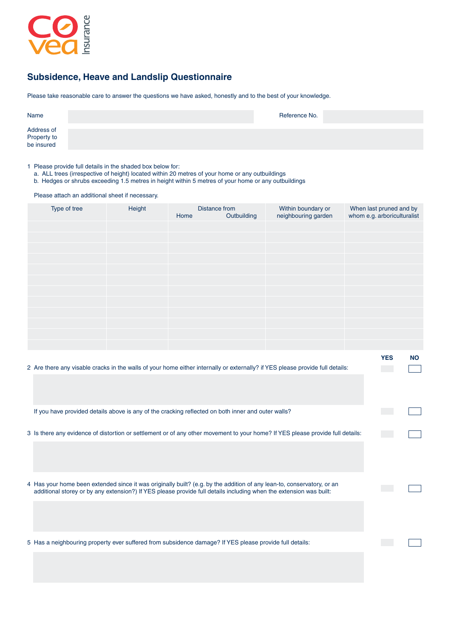

## **Subsidence, Heave and Landslip Questionnaire**

Please take reasonable care to answer the questions we have asked, honestly and to the best of your knowledge.

| Name                                    | Reference No. |  |
|-----------------------------------------|---------------|--|
| Address of<br>Property to<br>be insured |               |  |

1 Please provide full details in the shaded box below for:

a. ALL trees (irrespective of height) located within 20 metres of your home or any outbuildings

b. Hedges or shrubs exceeding 1.5 metres in height within 5 metres of your home or any outbuildings

Please attach an additional sheet if necessary.

| Type of tree | Height | Home | Distance from<br>Outbuilding | Within boundary or<br>neighbouring garden | When last pruned and by<br>whom e.g. arboriculturalist |           |
|--------------|--------|------|------------------------------|-------------------------------------------|--------------------------------------------------------|-----------|
|              |        |      |                              |                                           |                                                        |           |
|              |        |      |                              |                                           |                                                        |           |
|              |        |      |                              |                                           |                                                        |           |
|              |        |      |                              |                                           |                                                        |           |
|              |        |      |                              |                                           |                                                        |           |
|              |        |      |                              |                                           |                                                        |           |
|              |        |      |                              |                                           |                                                        |           |
|              |        |      |                              |                                           |                                                        |           |
|              |        |      |                              |                                           |                                                        |           |
|              |        |      |                              |                                           |                                                        |           |
|              |        |      |                              |                                           |                                                        |           |
|              |        |      |                              |                                           |                                                        |           |
|              |        |      |                              |                                           | <b>YES</b>                                             | <b>NO</b> |

| 2 Are there any visable cracks in the walls of your home either internally or externally? if YES please provide full details:                                                                                                                |  |
|----------------------------------------------------------------------------------------------------------------------------------------------------------------------------------------------------------------------------------------------|--|
|                                                                                                                                                                                                                                              |  |
| If you have provided details above is any of the cracking reflected on both inner and outer walls?                                                                                                                                           |  |
| 3 Is there any evidence of distortion or settlement or of any other movement to your home? If YES please provide full details:                                                                                                               |  |
|                                                                                                                                                                                                                                              |  |
| 4 Has your home been extended since it was originally built? (e.g. by the addition of any lean-to, conservatory, or an<br>additional storey or by any extension?) If YES please provide full details including when the extension was built: |  |
|                                                                                                                                                                                                                                              |  |
| 5 Has a neighbouring property ever suffered from subsidence damage? If YES please provide full details:                                                                                                                                      |  |
|                                                                                                                                                                                                                                              |  |